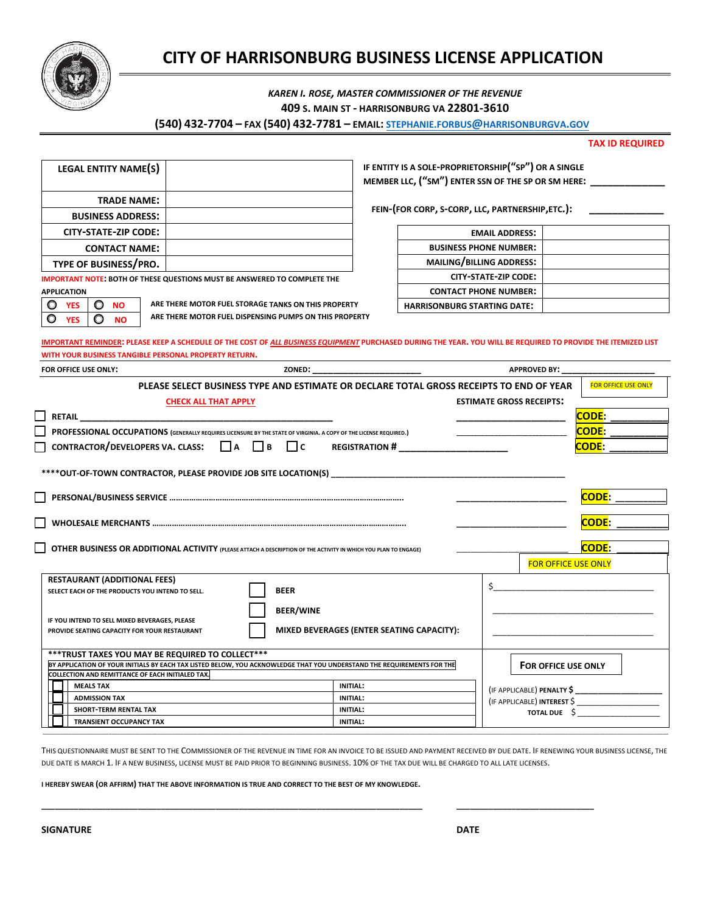

# **CITY OF HARRISONBURG BUSINESS LICENSE APPLICATION**

## *KAREN I. ROSE, MASTER COMMISSIONER OF THE REVENUE*

**409 S. MAIN ST - HARRISONBURG VA 22801-3610**

#### **(540) 432-7704 – FAX (540) 432-7781 – EMAIL: [STEPHANIE.FORBUS](mailto:Stephanie.Forbus@harrisonburgva.gov)@HARRISONBURGVA.GOV**

**TAX ID REQUIRED**

| LEGAL ENTITY NAME(S)                                                            |                                                        |  | IF ENTITY IS A SOLE-PROPRIETORSHIP("SP")<br>MEMBER LLC, ("SM") ENTER SSN OF THE SP |
|---------------------------------------------------------------------------------|--------------------------------------------------------|--|------------------------------------------------------------------------------------|
| <b>TRADE NAME:</b>                                                              |                                                        |  |                                                                                    |
| <b>BUSINESS ADDRESS:</b>                                                        |                                                        |  | FEIN-(FOR CORP, S-CORP, LLC, PARTNERS                                              |
| CITY-STATE-ZIP CODE:                                                            |                                                        |  | <b>EMAIL ADDRESS</b>                                                               |
| <b>CONTACT NAME:</b>                                                            |                                                        |  | <b>BUSINESS PHONE NUMBER</b>                                                       |
| TYPE OF BUSINESS/PRO.                                                           |                                                        |  | MAILING/BILLING ADDRESS                                                            |
| <b>IMPORTANT NOTE: BOTH OF THESE QUESTIONS MUST BE ANSWERED TO COMPLETE THE</b> |                                                        |  | <b>CITY-STATE-ZIP CODE</b>                                                         |
| <b>APPLICATION</b>                                                              |                                                        |  | <b>CONTACT PHONE NUMBER</b>                                                        |
| <b>NO</b><br><b>YES</b>                                                         | ARE THERE MOTOR FUEL STORAGE TANKS ON THIS PROPERTY    |  | <b>HARRISONBURG STARTING DATE:</b>                                                 |
| <b>YES</b><br>NO.                                                               | ARE THERE MOTOR FUEL DISPENSING PUMPS ON THIS PROPERTY |  |                                                                                    |

**IF ENTITY IS A SOLE-PROPRIETORSHIP("SP") OR A SINGLE MEMBER LLC, ("SM") ENTER SSN OF THE SP OR SM HERE: \_\_\_\_\_\_\_\_\_\_\_\_\_**

**FEIN-(FOR CORP, S-CORP, LLC, PARTNERSHIP,ETC.): \_\_\_\_\_\_\_\_\_\_\_\_\_**

| <b>EMAIL ADDRESS:</b>              |
|------------------------------------|
| <b>BUSINESS PHONE NUMBER:</b>      |
| MAILING/BILLING ADDRESS:           |
| CITY-STATE-ZIP CODE:               |
| <b>CONTACT PHONE NUMBER:</b>       |
| <b>HARRISONBURG STARTING DATE:</b> |

**IMPORTANT REMINDER: PLEASE KEEP A SCHEDULE OF THE COST OF** *ALL BUSINESS EQUIPMENT* **PURCHASED DURING THE YEAR. YOU WILL BE REQUIRED TO PROVIDE THE ITEMIZED LIST WITH YOUR BUSINESS TANGIBLE PERSONAL PROPERTY RETURN.** 

| FOR OFFICE USE ONLY: |
|----------------------|
|----------------------|

| FOR OFFICE USE ONLY:                                                                                                                                                       |                             |                                                                                         | <b>APPROVED BY:</b>             |                            |  |
|----------------------------------------------------------------------------------------------------------------------------------------------------------------------------|-----------------------------|-----------------------------------------------------------------------------------------|---------------------------------|----------------------------|--|
|                                                                                                                                                                            |                             | PLEASE SELECT BUSINESS TYPE AND ESTIMATE OR DECLARE TOTAL GROSS RECEIPTS TO END OF YEAR |                                 | <b>FOR OFFICE USE ONLY</b> |  |
|                                                                                                                                                                            | <b>CHECK ALL THAT APPLY</b> |                                                                                         | <b>ESTIMATE GROSS RECEIPTS:</b> |                            |  |
|                                                                                                                                                                            |                             |                                                                                         |                                 | CODE:                      |  |
| PROFESSIONAL OCCUPATIONS (GENERALLY REQUIRES LICENSURE BY THE STATE OF VIRGINIA. A COPY OF THE LICENSE REQUIRED.)                                                          |                             | <mark>Code</mark> : ______ <del>_____</del>                                             |                                 |                            |  |
| CONTRACTOR/DEVELOPERS VA. CLASS: $\Box$ A $\Box$ B $\Box$ C REGISTRATION #                                                                                                 |                             |                                                                                         |                                 | CODE:                      |  |
| ****OUT-OF-TOWN CONTRACTOR, PLEASE PROVIDE JOB SITE LOCATION(S)                                                                                                            |                             |                                                                                         |                                 |                            |  |
|                                                                                                                                                                            |                             |                                                                                         | <b>CODE:</b>                    |                            |  |
|                                                                                                                                                                            | <b>CODE:</b>                |                                                                                         |                                 |                            |  |
| OTHER BUSINESS OR ADDITIONAL ACTIVITY (PLEASE ATTACH A DESCRIPTION OF THE ACTIVITY IN WHICH YOU PLAN TO ENGAGE)                                                            |                             |                                                                                         |                                 |                            |  |
|                                                                                                                                                                            |                             |                                                                                         | <b>FOR OFFICE USE ONLY</b>      |                            |  |
| <b>RESTAURANT (ADDITIONAL FEES)</b><br>SELECT EACH OF THE PRODUCTS YOU INTEND TO SELL.                                                                                     | <b>BEER</b>                 |                                                                                         |                                 |                            |  |
| <b>BEER/WINE</b><br>IF YOU INTEND TO SELL MIXED BEVERAGES, PLEASE<br>MIXED BEVERAGES (ENTER SEATING CAPACITY):<br>PROVIDE SEATING CAPACITY FOR YOUR RESTAURANT             |                             |                                                                                         |                                 |                            |  |
| *** TRUST TAXES YOU MAY BE REQUIRED TO COLLECT ***                                                                                                                         |                             |                                                                                         |                                 |                            |  |
| BY APPLICATION OF YOUR INITIALS BY EACH TAX LISTED BELOW, YOU ACKNOWLEDGE THAT YOU UNDERSTAND THE REQUIREMENTS FOR THE<br>COLLECTION AND REMITTANCE OF EACH INITIALED TAX. |                             |                                                                                         | FOR OFFICE USE ONLY             |                            |  |
| <b>MEALS TAX</b><br><b>INITIAL:</b>                                                                                                                                        |                             |                                                                                         |                                 |                            |  |
| <b>ADMISSION TAX</b>                                                                                                                                                       |                             | <b>INITIAL:</b>                                                                         | TOTAL DUE \$                    |                            |  |
| SHORT-TERM RENTAL TAX                                                                                                                                                      |                             | <b>INITIAL:</b>                                                                         |                                 |                            |  |
| <b>TRANSIENT OCCUPANCY TAX</b>                                                                                                                                             |                             | INITIAL:                                                                                |                                 |                            |  |

THIS QUESTIONNAIRE MUST BE SENT TO THE COMMISSIONER OF THE REVENUE IN TIME FOR AN INVOICE TO BE ISSUED AND PAYMENT RECEIVED BY DUE DATE. IF RENEWING YOUR BUSINESS LICENSE, THE DUE DATE IS MARCH 1. IF A NEW BUSINESS, LICENSE MUST BE PAID PRIOR TO BEGINNING BUSINESS. 10% OF THE TAX DUE WILL BE CHARGED TO ALL LATE LICENSES.

**\_\_\_\_\_\_\_\_\_\_\_\_\_\_\_\_\_\_\_\_\_\_\_\_\_\_\_\_\_\_\_\_\_\_\_\_\_\_\_\_\_\_\_\_\_\_\_\_\_\_\_\_\_\_\_\_\_\_\_\_\_\_\_\_\_\_\_\_\_\_\_\_\_\_\_\_\_\_\_\_\_\_\_ \_\_\_\_\_\_\_\_\_\_\_\_\_\_\_\_\_\_\_\_\_\_\_\_\_\_\_\_\_\_**

**I HEREBY SWEAR (OR AFFIRM) THAT THE ABOVE INFORMATION IS TRUE AND CORRECT TO THE BEST OF MY KNOWLEDGE.** 

**SIGNATURE DATE**